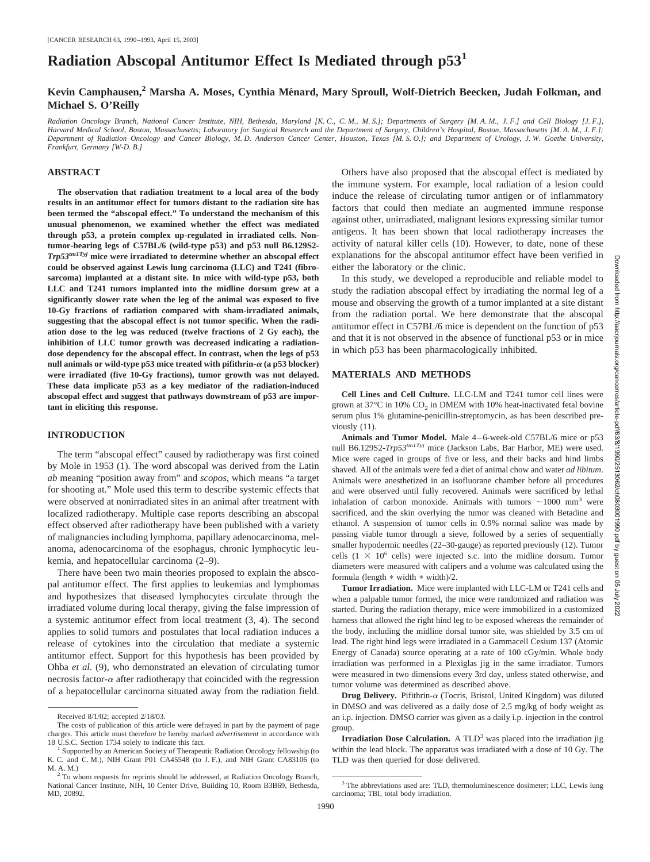# **Radiation Abscopal Antitumor Effect Is Mediated through p53<sup>1</sup>**

## Kevin Camphausen,<sup>2</sup> Marsha A. Moses, Cynthia Ménard, Mary Sproull, Wolf-Dietrich Beecken, Judah Folkman, and **Michael S. O'Reilly**

*Radiation Oncology Branch, National Cancer Institute, NIH, Bethesda, Maryland [K. C., C. M., M. S.]; Departments of Surgery [M. A. M., J. F.] and Cell Biology [J. F.], Harvard Medical School, Boston, Massachusetts; Laboratory for Surgical Research and the Department of Surgery, Children's Hospital, Boston, Massachusetts [M. A. M., J. F.]; Department of Radiation Oncology and Cancer Biology, M. D. Anderson Cancer Center, Houston, Texas [M. S. O.]; and Department of Urology, J. W. Goethe University, Frankfurt, Germany [W-D. B.]*

#### **ABSTRACT**

**The observation that radiation treatment to a local area of the body results in an antitumor effect for tumors distant to the radiation site has been termed the "abscopal effect." To understand the mechanism of this unusual phenomenon, we examined whether the effect was mediated through p53, a protein complex up-regulated in irradiated cells. Nontumor-bearing legs of C57BL/6 (wild-type p53) and p53 null B6.129S2-** *Trp53tm1Tyj* **mice were irradiated to determine whether an abscopal effect could be observed against Lewis lung carcinoma (LLC) and T241 (fibrosarcoma) implanted at a distant site. In mice with wild-type p53, both LLC and T241 tumors implanted into the midline dorsum grew at a significantly slower rate when the leg of the animal was exposed to five 10-Gy fractions of radiation compared with sham-irradiated animals, suggesting that the abscopal effect is not tumor specific. When the radiation dose to the leg was reduced (twelve fractions of 2 Gy each), the inhibition of LLC tumor growth was decreased indicating a radiationdose dependency for the abscopal effect. In contrast, when the legs of p53** null animals or wild-type  $p53$  mice treated with pifithrin- $\alpha$  (a  $p53$  blocker) **were irradiated (five 10-Gy fractions), tumor growth was not delayed. These data implicate p53 as a key mediator of the radiation-induced abscopal effect and suggest that pathways downstream of p53 are important in eliciting this response.**

## **INTRODUCTION**

The term "abscopal effect" caused by radiotherapy was first coined by Mole in 1953 (1). The word abscopal was derived from the Latin *ab* meaning "position away from" and *scopos*, which means "a target for shooting at." Mole used this term to describe systemic effects that were observed at nonirradiated sites in an animal after treatment with localized radiotherapy. Multiple case reports describing an abscopal effect observed after radiotherapy have been published with a variety of malignancies including lymphoma, papillary adenocarcinoma, melanoma, adenocarcinoma of the esophagus, chronic lymphocytic leukemia, and hepatocellular carcinoma (2–9).

There have been two main theories proposed to explain the abscopal antitumor effect. The first applies to leukemias and lymphomas and hypothesizes that diseased lymphocytes circulate through the irradiated volume during local therapy, giving the false impression of a systemic antitumor effect from local treatment (3, 4). The second applies to solid tumors and postulates that local radiation induces a release of cytokines into the circulation that mediate a systemic antitumor effect. Support for this hypothesis has been provided by Ohba *et al.* (9), who demonstrated an elevation of circulating tumor necrosis factor- $\alpha$  after radiotherapy that coincided with the regression of a hepatocellular carcinoma situated away from the radiation field.

Others have also proposed that the abscopal effect is mediated by the immune system. For example, local radiation of a lesion could induce the release of circulating tumor antigen or of inflammatory factors that could then mediate an augmented immune response against other, unirradiated, malignant lesions expressing similar tumor antigens. It has been shown that local radiotherapy increases the activity of natural killer cells (10). However, to date, none of these explanations for the abscopal antitumor effect have been verified in either the laboratory or the clinic.

In this study, we developed a reproducible and reliable model to study the radiation abscopal effect by irradiating the normal leg of a mouse and observing the growth of a tumor implanted at a site distant from the radiation portal. We here demonstrate that the abscopal antitumor effect in C57BL/6 mice is dependent on the function of p53 and that it is not observed in the absence of functional p53 or in mice in which p53 has been pharmacologically inhibited.

#### **MATERIALS AND METHODS**

**Cell Lines and Cell Culture.** LLC-LM and T241 tumor cell lines were grown at  $37^{\circ}$ C in  $10\%$  CO<sub>2</sub> in DMEM with 10% heat-inactivated fetal bovine serum plus 1% glutamine-penicillin-streptomycin, as has been described previously (11).

**Animals and Tumor Model.** Male 4–6-week-old C57BL/6 mice or p53 null B6.129S2-*Trp53tm1Tyj* mice (Jackson Labs, Bar Harbor, ME) were used. Mice were caged in groups of five or less, and their backs and hind limbs shaved. All of the animals were fed a diet of animal chow and water *ad libitum*. Animals were anesthetized in an isofluorane chamber before all procedures and were observed until fully recovered. Animals were sacrificed by lethal inhalation of carbon monoxide. Animals with tumors  $\sim$ 1000 mm<sup>3</sup> were sacrificed, and the skin overlying the tumor was cleaned with Betadine and ethanol. A suspension of tumor cells in 0.9% normal saline was made by passing viable tumor through a sieve, followed by a series of sequentially smaller hypodermic needles (22–30-gauge) as reported previously (12). Tumor cells  $(1 \times 10^6 \text{ cells})$  were injected s.c. into the midline dorsum. Tumor diameters were measured with calipers and a volume was calculated using the formula (length  $*$  width  $*$  width)/2.

**Tumor Irradiation.** Mice were implanted with LLC-LM or T241 cells and when a palpable tumor formed, the mice were randomized and radiation was started. During the radiation therapy, mice were immobilized in a customized harness that allowed the right hind leg to be exposed whereas the remainder of the body, including the midline dorsal tumor site, was shielded by 3.5 cm of lead. The right hind legs were irradiated in a Gammacell Cesium 137 (Atomic Energy of Canada) source operating at a rate of 100 cGy/min. Whole body irradiation was performed in a Plexiglas jig in the same irradiator. Tumors were measured in two dimensions every 3rd day, unless stated otherwise, and tumor volume was determined as described above.

**Drug Delivery.** Pifithrin- $\alpha$  (Tocris, Bristol, United Kingdom) was diluted in DMSO and was delivered as a daily dose of 2.5 mg/kg of body weight as an i.p. injection. DMSO carrier was given as a daily i.p. injection in the control group.

**Irradiation Dose Calculation.** A  $TLD<sup>3</sup>$  was placed into the irradiation jig within the lead block. The apparatus was irradiated with a dose of 10 Gy. The TLD was then queried for dose delivered.

Downloaded

from

Received 8/1/02; accepted 2/18/03.

The costs of publication of this article were defrayed in part by the payment of page charges. This article must therefore be hereby marked *advertisement* in accordance with

<sup>&</sup>lt;sup>1</sup> Supported by an American Society of Therapeutic Radiation Oncology fellowship (to K. C. and C. M.), NIH Grant P01 CA45548 (to J. F.), and NIH Grant CA83106 (to

<sup>&</sup>lt;sup>2</sup> To whom requests for reprints should be addressed, at Radiation Oncology Branch, National Cancer Institute, NIH, 10 Center Drive, Building 10, Room B3B69, Bethesda, MD, 20892.

<sup>&</sup>lt;sup>3</sup> The abbreviations used are: TLD, thermoluminescence dosimeter; LLC, Lewis lung carcinoma; TBI, total body irradiation.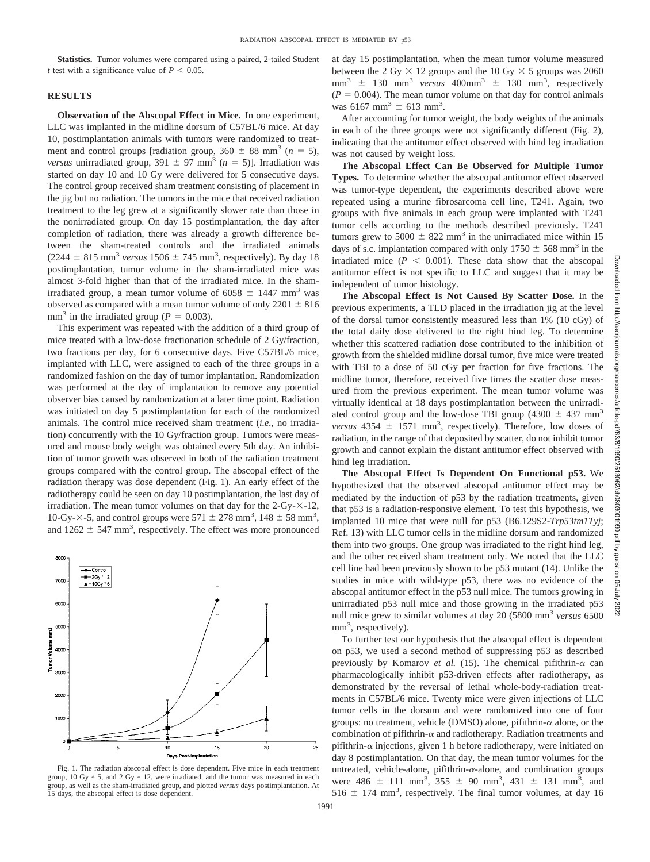**Statistics.** Tumor volumes were compared using a paired, 2-tailed Student *t* test with a significance value of  $P < 0.05$ .

## **RESULTS**

**Observation of the Abscopal Effect in Mice.** In one experiment, LLC was implanted in the midline dorsum of C57BL/6 mice. At day 10, postimplantation animals with tumors were randomized to treatment and control groups [radiation group,  $360 \pm 88$  mm<sup>3</sup> ( $n = 5$ ), *versus* unirradiated group,  $391 \pm 97$  mm<sup>3</sup> ( $n = 5$ )]. Irradiation was started on day 10 and 10 Gy were delivered for 5 consecutive days. The control group received sham treatment consisting of placement in the jig but no radiation. The tumors in the mice that received radiation treatment to the leg grew at a significantly slower rate than those in the nonirradiated group. On day 15 postimplantation, the day after completion of radiation, there was already a growth difference between the sham-treated controls and the irradiated animals  $(2244 \pm 815 \text{ mm}^3 \text{ versus } 1506 \pm 745 \text{ mm}^3, \text{ respectively})$ . By day 18 postimplantation, tumor volume in the sham-irradiated mice was almost 3-fold higher than that of the irradiated mice. In the shamirradiated group, a mean tumor volume of  $6058 \pm 1447$  mm<sup>3</sup> was observed as compared with a mean tumor volume of only  $2201 \pm 816$ mm<sup>3</sup> in the irradiated group ( $P = 0.003$ ).

This experiment was repeated with the addition of a third group of mice treated with a low-dose fractionation schedule of 2 Gy/fraction, two fractions per day, for 6 consecutive days. Five C57BL/6 mice, implanted with LLC, were assigned to each of the three groups in a randomized fashion on the day of tumor implantation. Randomization was performed at the day of implantation to remove any potential observer bias caused by randomization at a later time point. Radiation was initiated on day 5 postimplantation for each of the randomized animals. The control mice received sham treatment (*i.e.,* no irradiation) concurrently with the 10 Gy/fraction group. Tumors were measured and mouse body weight was obtained every 5th day. An inhibition of tumor growth was observed in both of the radiation treatment groups compared with the control group. The abscopal effect of the radiation therapy was dose dependent (Fig. 1). An early effect of the radiotherapy could be seen on day 10 postimplantation, the last day of irradiation. The mean tumor volumes on that day for the  $2$ -Gy- $\times$ -12, 10-Gy- $\times$ -5, and control groups were 571  $\pm$  278 mm<sup>3</sup>, 148  $\pm$  58 mm<sup>3</sup>, and  $1262 \pm 547$  mm<sup>3</sup>, respectively. The effect was more pronounced



Fig. 1. The radiation abscopal effect is dose dependent. Five mice in each treatment group, 10 Gy  $*$  5, and 2 Gy  $*$  12, were irradiated, and the tumor was measured in each group, as well as the sham-irradiated group, and plotted *versus* days postimplantation. At 15 days, the abscopal effect is dose dependent.

at day 15 postimplantation, when the mean tumor volume measured between the 2 Gy  $\times$  12 groups and the 10 Gy  $\times$  5 groups was 2060  $mm<sup>3</sup> \pm 130 mm<sup>3</sup>$  *versus* 400mm<sup>3</sup>  $\pm$  130 mm<sup>3</sup>, respectively  $(P = 0.004)$ . The mean tumor volume on that day for control animals was 6167 mm<sup>3</sup>  $\pm$  613 mm<sup>3</sup>.

After accounting for tumor weight, the body weights of the animals in each of the three groups were not significantly different (Fig. 2), indicating that the antitumor effect observed with hind leg irradiation was not caused by weight loss.

**The Abscopal Effect Can Be Observed for Multiple Tumor Types.** To determine whether the abscopal antitumor effect observed was tumor-type dependent, the experiments described above were repeated using a murine fibrosarcoma cell line, T241. Again, two groups with five animals in each group were implanted with T241 tumor cells according to the methods described previously. T241 tumors grew to 5000  $\pm$  822 mm<sup>3</sup> in the unirradiated mice within 15 days of s.c. implantation compared with only  $1750 \pm 568$  mm<sup>3</sup> in the irradiated mice  $(P < 0.001)$ . These data show that the abscopal antitumor effect is not specific to LLC and suggest that it may be independent of tumor histology.

**The Abscopal Effect Is Not Caused By Scatter Dose.** In the previous experiments, a TLD placed in the irradiation jig at the level of the dorsal tumor consistently measured less than 1% (10 cGy) of the total daily dose delivered to the right hind leg. To determine whether this scattered radiation dose contributed to the inhibition of growth from the shielded midline dorsal tumor, five mice were treated with TBI to a dose of 50 cGy per fraction for five fractions. The midline tumor, therefore, received five times the scatter dose measured from the previous experiment. The mean tumor volume was virtually identical at 18 days postimplantation between the unirradiated control group and the low-dose TBI group (4300  $\pm$  437 mm<sup>3</sup> *versus*  $4354 \pm 1571$  mm<sup>3</sup>, respectively). Therefore, low doses of radiation, in the range of that deposited by scatter, do not inhibit tumor growth and cannot explain the distant antitumor effect observed with hind leg irradiation.

**The Abscopal Effect Is Dependent On Functional p53.** We hypothesized that the observed abscopal antitumor effect may be mediated by the induction of p53 by the radiation treatments, given that p53 is a radiation-responsive element. To test this hypothesis, we implanted 10 mice that were null for p53 (B6.129S2-*Trp53tm1Tyj*; Ref. 13) with LLC tumor cells in the midline dorsum and randomized them into two groups. One group was irradiated to the right hind leg, and the other received sham treatment only. We noted that the LLC cell line had been previously shown to be p53 mutant (14). Unlike the studies in mice with wild-type p53, there was no evidence of the abscopal antitumor effect in the p53 null mice. The tumors growing in unirradiated p53 null mice and those growing in the irradiated p53 null mice grew to similar volumes at day 20 (5800 mm3 *versus* 6500 mm<sup>3</sup>, respectively).

To further test our hypothesis that the abscopal effect is dependent on p53, we used a second method of suppressing p53 as described previously by Komarov *et al.* (15). The chemical pifithrin- $\alpha$  can pharmacologically inhibit p53-driven effects after radiotherapy, as demonstrated by the reversal of lethal whole-body-radiation treatments in C57BL/6 mice. Twenty mice were given injections of LLC tumor cells in the dorsum and were randomized into one of four groups: no treatment, vehicle (DMSO) alone, pifithrin- $\alpha$  alone, or the combination of pifithrin- $\alpha$  and radiotherapy. Radiation treatments and pifithrin- $\alpha$  injections, given 1 h before radiotherapy, were initiated on day 8 postimplantation. On that day, the mean tumor volumes for the untreated, vehicle-alone, pifithrin- $\alpha$ -alone, and combination groups were  $486 \pm 111 \text{ mm}^3$ ,  $355 \pm 90 \text{ mm}^3$ ,  $431 \pm 131 \text{ mm}^3$ , and  $516 \pm 174$  mm<sup>3</sup>, respectively. The final tumor volumes, at day 16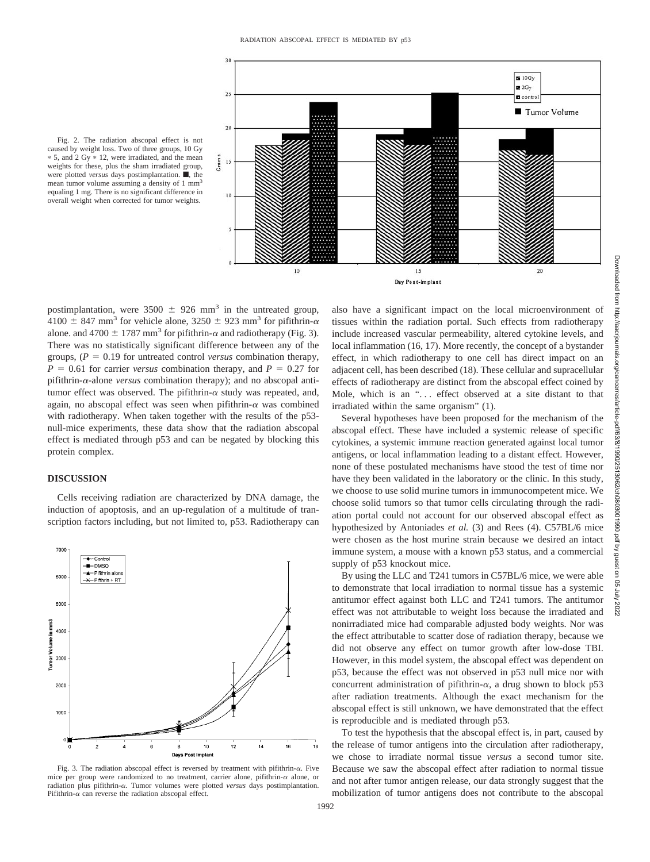

Fig. 2. The radiation abscopal effect is not caused by weight loss. Two of three groups, 10 Gy 5, and 2 Gy 12, were irradiated, and the mean weights for these, plus the sham irradiated group, were plotted *versus* days postimplantation.  $\blacksquare$ , the mean tumor volume assuming a density of 1 mm<sup>3</sup> equaling 1 mg. There is no significant difference in overall weight when corrected for tumor weights.

postimplantation, were  $3500 \pm 926$  mm<sup>3</sup> in the untreated group, 4100  $\pm$  847 mm<sup>3</sup> for vehicle alone, 3250  $\pm$  923 mm<sup>3</sup> for pifithrin- $\alpha$ alone. and 4700  $\pm$  1787 mm<sup>3</sup> for pifithrin- $\alpha$  and radiotherapy (Fig. 3). There was no statistically significant difference between any of the groups,  $(P = 0.19$  for untreated control *versus* combination therapy,  $P = 0.61$  for carrier *versus* combination therapy, and  $P = 0.27$  for pifithrin- $\alpha$ -alone *versus* combination therapy); and no abscopal antitumor effect was observed. The pifithrin- $\alpha$  study was repeated, and, again, no abscopal effect was seen when pifithrin- $\alpha$  was combined with radiotherapy. When taken together with the results of the p53 null-mice experiments, these data show that the radiation abscopal effect is mediated through p53 and can be negated by blocking this protein complex.

### **DISCUSSION**

Cells receiving radiation are characterized by DNA damage, the induction of apoptosis, and an up-regulation of a multitude of transcription factors including, but not limited to, p53. Radiotherapy can



Fig. 3. The radiation abscopal effect is reversed by treatment with pifithrin- $\alpha$ . Five mice per group were randomized to no treatment, carrier alone, pifithrin- $\alpha$  alone, or radiation plus pifithrin- $\alpha$ . Tumor volumes were plotted *versus* days postimplantation. Pifithrin- $\alpha$  can reverse the radiation abscopal effect.

also have a significant impact on the local microenvironment of tissues within the radiation portal. Such effects from radiotherapy include increased vascular permeability, altered cytokine levels, and local inflammation (16, 17). More recently, the concept of a bystander effect, in which radiotherapy to one cell has direct impact on an adjacent cell, has been described (18). These cellular and supracellular effects of radiotherapy are distinct from the abscopal effect coined by Mole, which is an "... effect observed at a site distant to that irradiated within the same organism" (1).

Several hypotheses have been proposed for the mechanism of the abscopal effect. These have included a systemic release of specific cytokines, a systemic immune reaction generated against local tumor antigens, or local inflammation leading to a distant effect. However, none of these postulated mechanisms have stood the test of time nor have they been validated in the laboratory or the clinic. In this study, we choose to use solid murine tumors in immunocompetent mice. We choose solid tumors so that tumor cells circulating through the radiation portal could not account for our observed abscopal effect as hypothesized by Antoniades *et al.* (3) and Rees (4). C57BL/6 mice were chosen as the host murine strain because we desired an intact immune system, a mouse with a known p53 status, and a commercial supply of p53 knockout mice.

By using the LLC and T241 tumors in C57BL/6 mice, we were able to demonstrate that local irradiation to normal tissue has a systemic antitumor effect against both LLC and T241 tumors. The antitumor effect was not attributable to weight loss because the irradiated and nonirradiated mice had comparable adjusted body weights. Nor was the effect attributable to scatter dose of radiation therapy, because we did not observe any effect on tumor growth after low-dose TBI. However, in this model system, the abscopal effect was dependent on p53, because the effect was not observed in p53 null mice nor with concurrent administration of pifithrin- $\alpha$ , a drug shown to block p53 after radiation treatments. Although the exact mechanism for the abscopal effect is still unknown, we have demonstrated that the effect is reproducible and is mediated through p53.

To test the hypothesis that the abscopal effect is, in part, caused by the release of tumor antigens into the circulation after radiotherapy, we chose to irradiate normal tissue *versus* a second tumor site. Because we saw the abscopal effect after radiation to normal tissue and not after tumor antigen release, our data strongly suggest that the mobilization of tumor antigens does not contribute to the abscopal